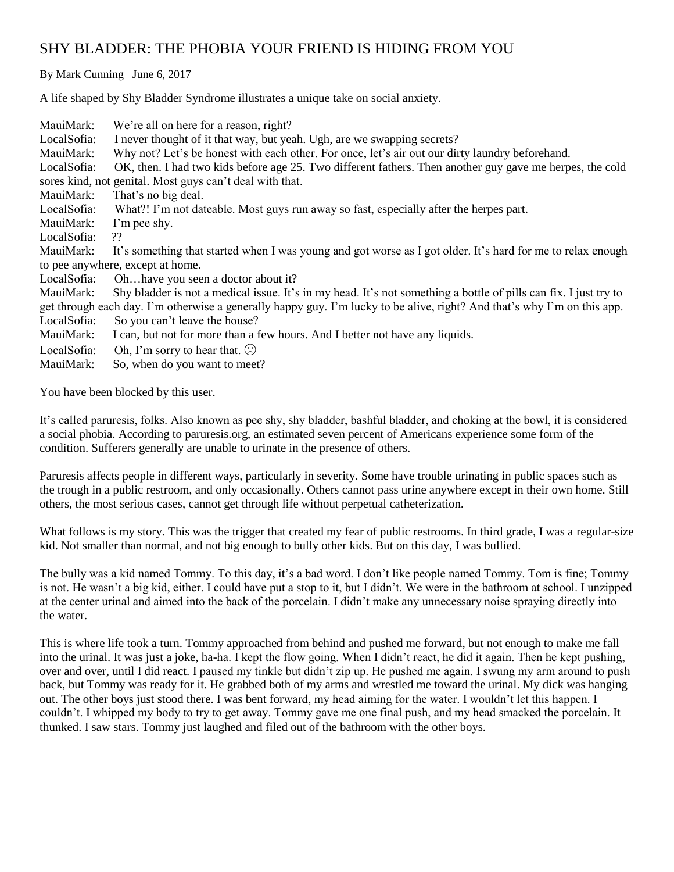## SHY BLADDER: THE PHOBIA YOUR FRIEND IS HIDING FROM YOU

By Mark Cunning June 6, 2017

A life shaped by Shy Bladder Syndrome illustrates a unique take on social anxiety.

| MauiMark:                                                                                                                | We're all on here for a reason, right?                                                                           |
|--------------------------------------------------------------------------------------------------------------------------|------------------------------------------------------------------------------------------------------------------|
| LocalSofia:                                                                                                              | I never thought of it that way, but yeah. Ugh, are we swapping secrets?                                          |
| MauiMark:                                                                                                                | Why not? Let's be honest with each other. For once, let's air out our dirty laundry beforehand.                  |
| LocalSofia:                                                                                                              | OK, then. I had two kids before age 25. Two different fathers. Then another guy gave me herpes, the cold         |
| sores kind, not genital. Most guys can't deal with that.                                                                 |                                                                                                                  |
| MauiMark:                                                                                                                | That's no big deal.                                                                                              |
| LocalSofia:                                                                                                              | What?! I'm not dateable. Most guys run away so fast, especially after the herpes part.                           |
| MauiMark:                                                                                                                | I'm pee shy.                                                                                                     |
| LocalSofia:                                                                                                              | ??                                                                                                               |
| MauiMark:                                                                                                                | It's something that started when I was young and got worse as I got older. It's hard for me to relax enough      |
| to pee anywhere, except at home.                                                                                         |                                                                                                                  |
| LocalSofia:                                                                                                              | Ohhave you seen a doctor about it?                                                                               |
| MauiMark:                                                                                                                | Shy bladder is not a medical issue. It's in my head. It's not something a bottle of pills can fix. I just try to |
| get through each day. I'm otherwise a generally happy guy. I'm lucky to be alive, right? And that's why I'm on this app. |                                                                                                                  |
| LocalSofia:                                                                                                              | So you can't leave the house?                                                                                    |
| MauiMark:                                                                                                                | I can, but not for more than a few hours. And I better not have any liquids.                                     |
| LocalSofia:                                                                                                              | Oh, I'm sorry to hear that. $\odot$                                                                              |
| MauiMark:                                                                                                                | So, when do you want to meet?                                                                                    |

You have been blocked by this user.

It's called paruresis, folks. Also known as pee shy, shy bladder, bashful bladder, and choking at the bowl, it is considered a social phobia. According to paruresis.org, an estimated seven percent of Americans experience some form of the condition. Sufferers generally are unable to urinate in the presence of others.

Paruresis affects people in different ways, particularly in severity. Some have trouble urinating in public spaces such as the trough in a public restroom, and only occasionally. Others cannot pass urine anywhere except in their own home. Still others, the most serious cases, cannot get through life without perpetual catheterization.

What follows is my story. This was the trigger that created my fear of public restrooms. In third grade, I was a regular-size kid. Not smaller than normal, and not big enough to bully other kids. But on this day, I was bullied.

The bully was a kid named Tommy. To this day, it's a bad word. I don't like people named Tommy. Tom is fine; Tommy is not. He wasn't a big kid, either. I could have put a stop to it, but I didn't. We were in the bathroom at school. I unzipped at the center urinal and aimed into the back of the porcelain. I didn't make any unnecessary noise spraying directly into the water.

This is where life took a turn. Tommy approached from behind and pushed me forward, but not enough to make me fall into the urinal. It was just a joke, ha-ha. I kept the flow going. When I didn't react, he did it again. Then he kept pushing, over and over, until I did react. I paused my tinkle but didn't zip up. He pushed me again. I swung my arm around to push back, but Tommy was ready for it. He grabbed both of my arms and wrestled me toward the urinal. My dick was hanging out. The other boys just stood there. I was bent forward, my head aiming for the water. I wouldn't let this happen. I couldn't. I whipped my body to try to get away. Tommy gave me one final push, and my head smacked the porcelain. It thunked. I saw stars. Tommy just laughed and filed out of the bathroom with the other boys.